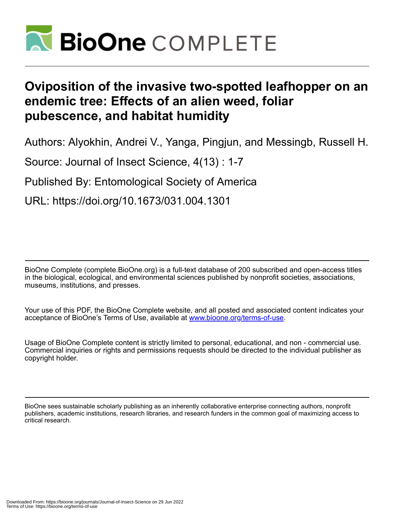

# **Oviposition of the invasive two-spotted leafhopper on an endemic tree: Effects of an alien weed, foliar pubescence, and habitat humidity**

Authors: Alyokhin, Andrei V., Yanga, Pingjun, and Messingb, Russell H.

Source: Journal of Insect Science, 4(13) : 1-7

Published By: Entomological Society of America

URL: https://doi.org/10.1673/031.004.1301

BioOne Complete (complete.BioOne.org) is a full-text database of 200 subscribed and open-access titles in the biological, ecological, and environmental sciences published by nonprofit societies, associations, museums, institutions, and presses.

Your use of this PDF, the BioOne Complete website, and all posted and associated content indicates your acceptance of BioOne's Terms of Use, available at www.bioone.org/terms-of-use.

Usage of BioOne Complete content is strictly limited to personal, educational, and non - commercial use. Commercial inquiries or rights and permissions requests should be directed to the individual publisher as copyright holder.

BioOne sees sustainable scholarly publishing as an inherently collaborative enterprise connecting authors, nonprofit publishers, academic institutions, research libraries, and research funders in the common goal of maximizing access to critical research.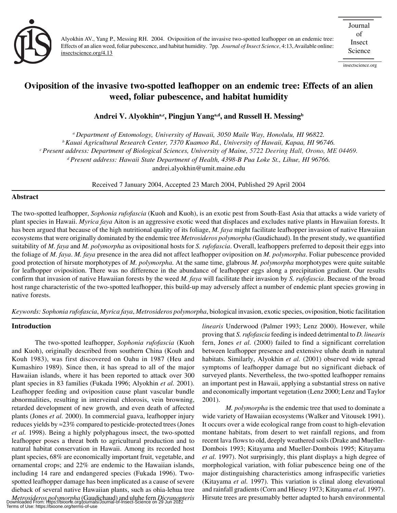

Alyokhin AV., Yang P., Messing RH. 2004. Oviposition of the invasive two-spotted leafhopper on an endemic tree: Effects of an alien weed, foliar pubescence, and habitat humidity. 7pp. *Journal of Insect Science*, 4:13, Available online: insectscience.org/4.13

insectscience.org

# **Oviposition of the invasive two-spotted leafhopper on an endemic tree: Effects of an alien weed, foliar pubescence, and habitat humidity**

Andrei V. Alyokhin<sup>a,c</sup>, Pingjun Yang<sup>a,d</sup>, and Russell H. Messing<sup>b</sup>

*a Department of Entomology, University of Hawaii, 3050 Maile Way, Honolulu, HI 96822. b Kauai Agricultural Research Center, 7370 Kuamoo Rd., University of Hawaii, Kapaa, HI 96746. c Present address: Department of Biological Sciences, University of Maine, 5722 Deering Hall, Orono, ME 04469. d Present address: Hawaii State Department of Health, 4398-B Pua Loke St., Lihue, HI 96766.* andrei.alyokhin@umit.maine.edu

Received 7 January 2004, Accepted 23 March 2004, Published 29 April 2004

# **Abstract**

The two-spotted leafhopper, *Sophonia rufofascia* (Kuoh and Kuoh), is an exotic pest from South-East Asia that attacks a wide variety of plant species in Hawaii. *Myrica faya* Aiton is an aggressive exotic weed that displaces and excludes native plants in Hawaiian forests. It has been argued that because of the high nutritional quality of its foliage, *M. faya* might facilitate leafhopper invasion of native Hawaiian ecosystems that were originally dominated by the endemic tree *Metrosideros polymorpha* (Gaudichaud). In the present study, we quantified suitability of *M. faya* and *M. polymorpha* as ovipositional hosts for *S. rufofascia*. Overall, leafhoppers preferred to deposit their eggs into the foliage of *M. faya*. *M. faya* presence in the area did not affect leafhopper oviposition on *M. polymorpha*. Foliar pubescence provided good protection of hirsute morphotypes of *M. polymorpha*. At the same time, glabrous *M. polymorpha* morphotypes were quite suitable for leafhopper oviposition. There was no difference in the abundance of leafhopper eggs along a precipitation gradient. Our results confirm that invasion of native Hawaiian forests by the weed *M. faya* will facilitate their invasion by *S. rufofascia*. Because of the broad host range characteristic of the two-spotted leafhopper, this build-up may adversely affect a number of endemic plant species growing in native forests.

*Keywords: Sophonia rufofascia*, *Myrica faya*, *Metrosideros polymorpha*, biological invasion, exotic species, oviposition, biotic facilitation

# **Introduction**

The two-spotted leafhopper, *Sophonia rufofascia* (Kuoh and Kuoh), originally described from southern China (Kouh and Kouh 1983), was first discovered on Oahu in 1987 (Heu and Kumashiro 1989). Since then, it has spread to all of the major Hawaiian islands, where it has been reported to attack over 300 plant species in 83 families (Fukada 1996; Alyokhin *et al.* 2001). Leafhopper feeding and oviposition cause plant vascular bundle abnormalities, resulting in interveinal chlorosis, vein browning, retarded development of new growth, and even death of affected plants (Jones *et al.* 2000). In commercial guava, leafhopper injury reduces yields by  $\approx$ 23% compared to pesticide-protected trees (Jones *et al.* 1998). Being a highly polyphagous insect, the two-spotted leafhopper poses a threat both to agricultural production and to natural habitat conservation in Hawaii. Among its recorded host plant species, 68% are economically important fruit, vegetable, and ornamental crops; and 22% are endemic to the Hawaiian islands, including 14 rare and endangered species (Fukada 1996). Twospotted leafhopper damage has been implicated as a cause of severe dieback of several native Hawaiian plants, such as ohia-lehua tree Metrosideros polymorpha (Gaudichaud) and uluhe fern Dicranopteris<br>Downloaded From: https://bioone.org/journals/Journal-of-Insect-Science on 29 Jun 2022<br>Terms of Use: https://bioone.org/terms-of-use

*linearis* Underwood (Palmer 1993; Lenz 2000). However, while proving that *S. rufofascia* feeding is indeed detrimental to *D. linearis* fern, Jones *et al.* (2000) failed to find a significant correlation between leafhopper presence and extensive uluhe death in natural habitats. Similarly, Alyokhin *et al.* (2001) observed wide spread symptoms of leafhopper damage but no significant dieback of surveyed plants. Nevertheless, the two-spotted leafhopper remains an important pest in Hawaii, applying a substantial stress on native and economically important vegetation (Lenz 2000; Lenz and Taylor 2001).

*M. polymorpha* is the endemic tree that used to dominate a wide variety of Hawaiian ecosystems (Walker and Vitousek 1991). It occurs over a wide ecological range from coast to high-elevation montane habitats, from desert to wet rainfall regions, and from recent lava flows to old, deeply weathered soils (Drake and Mueller-Dombois 1993; Kitayama and Mueller-Dombois 1995; Kitayama *et al.* 1997). Not surprisingly, this plant displays a high degree of morphological variation, with foliar pubescence being one of the major distinguishing characteristics among infraspecific varieties (Kitayama *et al.* 1997). This variation is clinal along elevational and rainfall gradients (Corn and Hiesey 1973; Kitayama *et al.* 1997).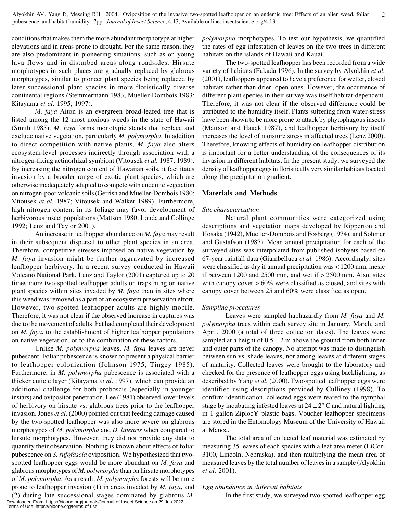conditions that makes them the more abundant morphotype at higher elevations and in areas prone to drought. For the same reason, they are also predominant in pioneering situations, such as on young lava flows and in disturbed areas along roadsides. Hirsute morphotypes in such places are gradually replaced by glabrous morphotypes, similar to pioneer plant species being replaced by later successional plant species in more floristically diverse continental regions (Stemmermann 1983; Mueller-Dombois 1983; Kitayama *et al.* 1995; 1997).

*M. faya* Aiton is an evergreen broad-leafed tree that is listed among the 12 most noxious weeds in the state of Hawaii (Smith 1985). *M. faya* forms monotypic stands that replace and exclude native vegetation, particularly *M. polymorpha*. In addition to direct competition with native plants, *M. faya* also alters ecosystem-level processes indirectly through association with a nitrogen-fixing actinorhizal symbiont (Vitousek *et al.* 1987; 1989). By increasing the nitrogen content of Hawaiian soils, it facilitates invasion by a broader range of exotic plant species, which are otherwise inadequately adapted to compete with endemic vegetation on nitrogen-poor volcanic soils (Gerrish and Mueller-Dombois 1980; Vitousek *et al.* 1987; Vitousek and Walker 1989). Furthermore, high nitrogen content in its foliage may favor development of herbivorous insect populations (Mattson 1980; Louda and Collinge 1992; Lenz and Taylor 2001).

An increase in leafhopper abundance on *M. faya* may result in their subsequent dispersal to other plant species in an area. Therefore, competitive stresses imposed on native vegetation by *M. faya* invasion might be further aggravated by increased leafhopper herbivory. In a recent survey conducted in Hawaii Volcano National Park, Lenz and Taylor (2001) captured up to 20 times more two-spotted leafhopper adults on traps hung on native plant species within sites invaded by *M. faya* than in sites where this weed was removed as a part of an ecosystem preservation effort. However, two-spotted leafhopper adults are highly mobile. Therefore, it was not clear if the observed increase in captures was due to the movement of adults that had completed their development on *M. faya*, to the establishment of higher leafhopper populations on native vegetation, or to the combination of these factors.

Unlike *M. polymorpha* leaves, *M. faya* leaves are never pubescent. Foliar pubescence is known to present a physical barrier to leafhopper colonization (Johnson 1975; Tingey 1985). Furthermore, in *M. polymorpha* pubescence is associated with a thicker cuticle layer (Kitayama *et al.* 1997), which can provide an additional challenge for both proboscis (especially in younger instars) and ovipositor penetration. Lee (1981) observed lower levels of herbivory on hirsute vs. glabrous trees prior to the leafhopper invasion. Jones *et al.* (2000) pointed out that feeding damage caused by the two-spotted leafhopper was also more severe on glabrous morphotypes of *M. polymorpha* and *D. linearis* when compared to hirsute morphotypes. However, they did not provide any data to quantify their observation. Nothing is known about effects of foliar pubescence on *S. rufofascia* oviposition. We hypothesized that twospotted leafhopper eggs would be more abundant on *M. faya* and glabrous morphotypes of *M. polymorpha* than on hirsute morphotypes of *M. polymorpha*. As a result, *M. polymorpha* forests will be more prone to leafhopper invasion (1) in areas invaded by *M. faya*, and

(2) during late successional stages dominated by glabrous *M.* Downloaded From: https://bioone.org/journals/Journal-of-Insect-Science on 29 Jun 2022 Terms of Use: https://bioone.org/terms-of-use

*polymorpha* morphotypes. To test our hypothesis, we quantified the rates of egg infestation of leaves on the two trees in different habitats on the islands of Hawaii and Kauai.

The two-spotted leafhopper has been recorded from a wide variety of habitats (Fukada 1996). In the survey by Alyokhin *et al.* (2001), leafhoppers appeared to have a preference for wetter, closed habitats rather than drier, open ones. However, the occurrence of different plant species in their survey was itself habitat-dependent. Therefore, it was not clear if the observed difference could be attributed to the humidity itself. Plants suffering from water-stress have been shown to be more prone to attack by phytophagous insects (Mattson and Haack 1987), and leafhopper herbivory by itself increases the level of moisture stress in affected trees (Lenz 2000). Therefore, knowing effects of humidity on leafhopper distribution is important for a better understanding of the consequences of its invasion in different habitats. In the present study, we surveyed the density of leafhopper eggs in floristically very similar habitats located along the precipitation gradient.

# **Materials and Methods**

#### *Site characterization*

Natural plant communities were categorized using descriptions and vegetation maps developed by Ripperton and Hosaka (1942), Mueller-Dombois and Fosberg (1974), and Sohmer and Gustafson (1987). Mean annual precipitation for each of the surveyed sites was interpolated from published isohyets based on 67-year rainfall data (Giambelluca *et al.* 1986). Accordingly, sites were classified as dry if annual precipitation was < 1200 mm, mesic if between 1200 and 2500 mm, and wet if  $> 2500$  mm. Also, sites with canopy cover  $> 60\%$  were classified as closed, and sites with canopy cover between 25 and 60% were classified as open.

#### *Sampling procedures*

Leaves were sampled haphazardly from *M. faya* and *M. polymorpha* trees within each survey site in January, March, and April, 2000 (a total of three collection dates). The leaves were sampled at a height of  $0.5 - 2$  m above the ground from both inner and outer parts of the canopy. No attempt was made to distinguish between sun vs. shade leaves, nor among leaves at different stages of maturity. Collected leaves were brought to the laboratory and checked for the presence of leafhopper eggs using backlighting, as described by Yang *et al.* (2000). Two-spotted leafhopper eggs were identified using descriptions provided by Culliney (1998). To confirm identification, collected eggs were reared to the nymphal stage by incubating infested leaves at  $24 \pm 2^{\circ}$  C and natural lighting in 1 gallon Ziploc® plastic bags. Voucher leafhopper specimens are stored in the Entomology Museum of the University of Hawaii at Manoa.

The total area of collected leaf material was estimated by measuring 35 leaves of each species with a leaf area meter (LiCor-3100, Lincoln, Nebraska), and then multiplying the mean area of measured leaves by the total number of leaves in a sample (Alyokhin *et al.* 2001).

# *Egg abundance in different habitats*

In the first study, we surveyed two-spotted leafhopper egg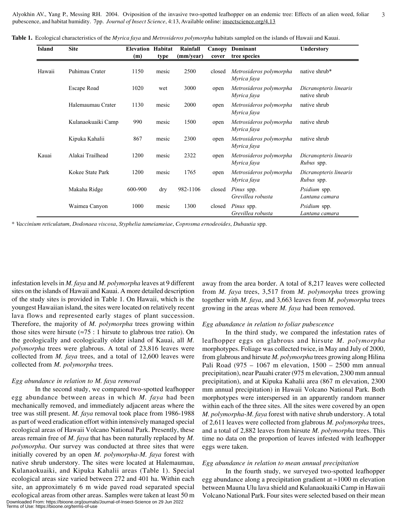Alyokhin AV., Yang P., Messing RH. 2004. Oviposition of the invasive two-spotted leafhopper on an endemic tree: Effects of an alien weed, foliar 3 pubescence, and habitat humidity. 7pp. *Journal of Insect Science*, 4:13, Available online: insectscience.org/4.13

|  |  |  |  |  |  |  |  | <b>Table 1.</b> Ecological characteristics of the <i>Myrica faya</i> and <i>Metrosideros polymorpha</i> habitats sampled on the islands of Hawaii and Kauai. |  |
|--|--|--|--|--|--|--|--|--------------------------------------------------------------------------------------------------------------------------------------------------------------|--|
|--|--|--|--|--|--|--|--|--------------------------------------------------------------------------------------------------------------------------------------------------------------|--|

| <b>Island</b> | <b>Site</b>        | <b>Elevation Habitat</b><br>(m) | type  | Rainfall<br>(mm/year) | Canopy<br>cover | Dominant<br>tree species               | <b>Understory</b>                      |
|---------------|--------------------|---------------------------------|-------|-----------------------|-----------------|----------------------------------------|----------------------------------------|
| Hawaii        | Puhimau Crater     | 1150                            | mesic | 2500                  | closed          | Metrosideros polymorpha<br>Myrica faya | native shrub*                          |
|               | <b>Escape Road</b> | 1020                            | wet   | 3000                  | open            | Metrosideros polymorpha<br>Myrica faya | Dicranopteris linearis<br>native shrub |
|               | Halemaumau Crater  | 1130                            | mesic | 2000                  | open            | Metrosideros polymorpha<br>Myrica faya | native shrub                           |
|               | Kulanaokuaiki Camp | 990                             | mesic | 1500                  | open            | Metrosideros polymorpha<br>Myrica faya | native shrub                           |
|               | Kipuka Kahalii     | 867                             | mesic | 2300                  | open            | Metrosideros polymorpha<br>Myrica faya | native shrub                           |
| Kauai         | Alakai Trailhead   | 1200                            | mesic | 2322                  | open            | Metrosideros polymorpha<br>Myrica faya | Dicranopteris linearis<br>Rubus spp.   |
|               | Kokee State Park   | 1200                            | mesic | 1765                  | open            | Metrosideros polymorpha<br>Myrica faya | Dicranopteris linearis<br>Rubus spp.   |
|               | Makaha Ridge       | 600-900                         | dry   | 982-1106              | closed          | Pinus spp.<br>Grevillea robusta        | Psidium spp.<br>Lantana camara         |
|               | Waimea Canyon      | 1000                            | mesic | 1300                  | closed          | <i>Pinus</i> spp.<br>Grevillea robusta | <i>Psidium</i> spp.<br>Lantana camara  |

\* *Vaccinium reticulatum*, *Dodonaea viscosa*, *Styphelia tameiameiae*, *Coprosma ernodeoides*, *Dubautia* spp.

infestation levels in *M. faya* and *M. polymorpha* leaves at 9 different sites on the islands of Hawaii and Kauai. A more detailed description of the study sites is provided in Table 1. On Hawaii, which is the youngest Hawaiian island, the sites were located on relatively recent lava flows and represented early stages of plant succession. Therefore, the majority of *M. polymorpha* trees growing within those sites were hirsute ( $\approx 75 : 1$  hirsute to glabrous tree ratio). On the geologically and ecologically older island of Kauai, all *M. polymorpha* trees were glabrous. A total of 23,816 leaves were collected from *M. faya* trees, and a total of 12,600 leaves were collected from *M. polymorpha* trees.

#### *Egg abundance in relation to M. faya removal*

In the second study, we compared two-spotted leafhopper egg abundance between areas in which *M. faya* had been mechanically removed, and immediately adjacent areas where the tree was still present. *M. faya* removal took place from 1986-1988 as part of weed eradication effort within intensively managed special ecological areas of Hawaii Volcano National Park. Presently, these areas remain free of *M. faya* that has been naturally replaced by *M. polymorpha*. Our survey was conducted at three sites that were initially covered by an open *M. polymorpha*-*M. faya* forest with native shrub understory. The sites were located at Halemaumau, Kulanaokuaiki, and Kipuka Kahalii areas (Table 1). Special ecological areas size varied between 272 and 401 ha. Within each site, an approximately 6 m wide paved road separated special ecological areas from other areas. Samples were taken at least 50 m Downloaded From: https://bioone.org/journals/Journal-of-Insect-Science on 29 Jun 2022

Terms of Use: https://bioone.org/terms-of-use

away from the area border. A total of 8,217 leaves were collected from *M. faya* trees, 3,517 from *M. polymorpha* trees growing together with *M. faya*, and 3,663 leaves from *M. polymorpha* trees growing in the areas where *M. faya* had been removed.

#### *Egg abundance in relation to foliar pubescence*

In the third study, we compared the infestation rates of leafhopper eggs on glabrous and hirsute *M. polymorpha* morphotypes. Foliage was collected twice, in May and July of 2000, from glabrous and hirsute *M. polymorpha* trees growing along Hilina Pali Road (975 – 1067 m elevation, 1500 – 2500 mm annual precipitation), near Pauahi crater (975 m elevation, 2300 mm annual precipitation), and at Kipuka Kahalii area (867 m elevation, 2300 mm annual precipitation) in Hawaii Volcano National Park. Both morphotypes were interspersed in an apparently random manner within each of the three sites. All the sites were covered by an open *M. polymorpha*-*M. faya* forest with native shrub understory. A total of 2,611 leaves were collected from glabrous *M. polymorpha* trees, and a total of 2,882 leaves from hirsute *M. polymorpha* trees. This time no data on the proportion of leaves infested with leafhopper eggs were taken.

#### *Egg abundance in relation to mean annual precipitation*

In the fourth study, we surveyed two-spotted leafhopper egg abundance along a precipitation gradient at ≈1000 m elevation between Mauna Ulu lava shield and Kulanaokuaiki Camp in Hawaii Volcano National Park. Four sites were selected based on their mean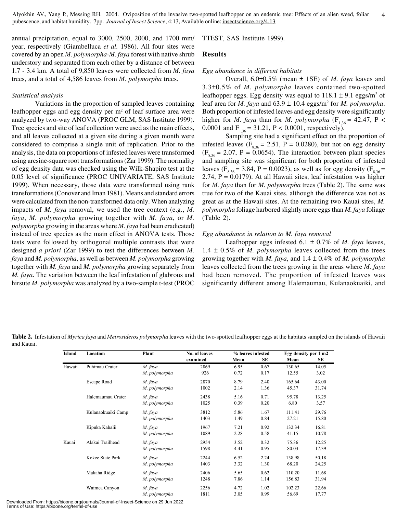Alyokhin AV., Yang P., Messing RH. 2004. Oviposition of the invasive two-spotted leafhopper on an endemic tree: Effects of an alien weed, foliar 4 pubescence, and habitat humidity. 7pp. *Journal of Insect Science*, 4:13, Available online: insectscience.org/4.13

annual precipitation, equal to 3000, 2500, 2000, and 1700 mm/ year, respectively (Giambelluca *et al.* 1986). All four sites were covered by an open *M. polymorpha*-*M. faya* forest with native shrub understory and separated from each other by a distance of between 1.7 - 3.4 km. A total of 9,850 leaves were collected from *M. faya* trees, and a total of 4,586 leaves from *M. polymorpha* trees.

#### *Statistical analysis*

Variations in the proportion of sampled leaves containing leafhopper eggs and egg density per m<sup>2</sup> of leaf surface area were analyzed by two-way ANOVA (PROC GLM, SAS Institute 1999). Tree species and site of leaf collection were used as the main effects, and all leaves collected at a given site during a given month were considered to comprise a single unit of replication. Prior to the analysis, the data on proportions of infested leaves were transformed using arcsine-square root transformations (Zar 1999). The normality of egg density data was checked using the Wilk-Shapiro test at the 0.05 level of significance (PROC UNIVARIATE, SAS Institute 1999). When necessary, those data were transformed using rank transformations (Conover and Iman 1981). Means and standard errors were calculated from the non-transformed data only. When analyzing impacts of *M. faya* removal, we used the tree context (e.g., *M. faya*, *M. polymorpha* growing together with *M. faya*, or *M. polymorpha* growing in the areas where *M. faya* had been eradicated) instead of tree species as the main effect in ANOVA tests. Those tests were followed by orthogonal multiple contrasts that were designed *a priori* (Zar 1999) to test the differences between *M. faya* and *M. polymorpha*, as well as between *M. polymorpha* growing together with *M. faya* and *M. polymorpha* growing separately from *M. faya*. The variation between the leaf infestation of glabrous and hirsute *M. polymorpha* was analyzed by a two-sample t-test (PROC TTEST, SAS Institute 1999).

#### **Results**

#### *Egg abundance in different habitats*

Overall, 6.0±0.5% (mean ± 1SE) of *M. faya* leaves and 3.3±0.5% of *M. polymorpha* leaves contained two-spotted leafhopper eggs. Egg density was equal to  $118.1 \pm 9.1$  eggs/m<sup>2</sup> of leaf area for *M. faya* and  $63.9 \pm 10.4$  eggs/m<sup>2</sup> for *M. polymorpha.* Both proportion of infested leaves and egg density were significantly higher for *M. faya* than for *M. polymorpha* ( $F_{1,36} = 42.47$ , P < 0.0001 and  $F_{136} = 31.21$ , P < 0.0001, respectively).

Sampling site had a significant effect on the proportion of infested leaves ( $F_{8,36}$  = 2.51, P = 0.0280), but not on egg density  $(F_{8,36} = 2.07, P = 0.0654)$ . The interaction between plant species and sampling site was significant for both proportion of infested leaves (F<sub>8,36</sub> = 3.84, P = 0.0023), as well as for egg density (F<sub>8,36</sub> = 2.74,  $P = 0.0179$ . At all Hawaii sites, leaf infestation was higher for *M. faya* than for *M. polymorpha* trees (Table 2). The same was true for two of the Kauai sites, although the difference was not as great as at the Hawaii sites. At the remaining two Kauai sites, *M. polymorpha* foliage harbored slightly more eggs than *M. faya* foliage (Table 2).

#### *Egg abundance in relation to M. faya removal*

Leafhopper eggs infested  $6.1 \pm 0.7\%$  of *M. faya* leaves, 1.4 ± 0.5% of *M. polymorpha* leaves collected from the trees growing together with *M. faya*, and 1.4 ± 0.4% of *M. polymorpha* leaves collected from the trees growing in the areas where *M. faya* had been removed. The proportion of infested leaves was significantly different among Halemaumau, Kulanaokuaiki, and

**Table 2.** Infestation of *Myrica faya* and *Metrosideros polymorpha* leaves with the two-spotted leafhopper eggs at the habitats sampled on the islands of Hawaii and Kauai.

| <b>Island</b> | Location           | Plant         | No. of leaves | % leaves infested |      | Egg density per 1 m2 |       |  |
|---------------|--------------------|---------------|---------------|-------------------|------|----------------------|-------|--|
|               |                    |               | examined      | Mean              | SE   | Mean                 | SE    |  |
| Hawaii        | Puhimau Crater     | M. faya       | 2869          | 6.95              | 0.67 | 130.65               | 14.05 |  |
|               |                    | M. polymorpha | 926           | 0.72              | 0.17 | 12.55                | 3.02  |  |
|               | Escape Road        | M. faya       | 2870          | 8.79              | 2.40 | 165.64               | 43.00 |  |
|               |                    | M. polymorpha | 1002          | 2.14              | 1.36 | 45.37                | 31.74 |  |
|               | Halemaumau Crater  | M. faya       | 2438          | 5.16              | 0.71 | 95.78                | 13.25 |  |
|               |                    | M. polymorpha | 1025          | 0.39              | 0.20 | 6.80                 | 3.57  |  |
|               | Kulanaokuaiki Camp | M. faya       | 3812          | 5.86              | 1.67 | 111.41               | 29.76 |  |
|               |                    | M. polymorpha | 1403          | 1.49              | 0.84 | 27.21                | 15.80 |  |
|               | Kipuka Kahalii     | M. faya       | 1967          | 7.21              | 0.92 | 132.34               | 16.81 |  |
|               |                    | M. polymorpha | 1089          | 2.28              | 0.58 | 41.15                | 10.78 |  |
| Kauai         | Alakai Trailhead   | M. faya       | 2954          | 3.52              | 0.32 | 75.36                | 12.25 |  |
|               |                    | M. polymorpha | 1598          | 4.41              | 0.95 | 80.03                | 17.39 |  |
|               | Kokee State Park   | M. faya       | 2244          | 6.52              | 2.24 | 138.98               | 50.18 |  |
|               |                    | M. polymorpha | 1403          | 3.32              | 1.30 | 68.20                | 24.25 |  |
|               | Makaha Ridge       | M. faya       | 2406          | 5.65              | 0.62 | 110.20               | 11.68 |  |
|               |                    | M. polymorpha | 1248          | 7.86              | 1.14 | 156.83               | 31.94 |  |
|               | Waimea Canyon      | M. faya       | 2256          | 4.72              | 1.02 | 102.23               | 22.66 |  |
|               |                    | M. polymorpha | 1811          | 3.05              | 0.99 | 56.69                | 17.77 |  |

Downloaded From: https://bioone.org/journals/Journal-of-Insect-Science on 29 Jun 2022 Terms of Use: https://bioone.org/terms-of-use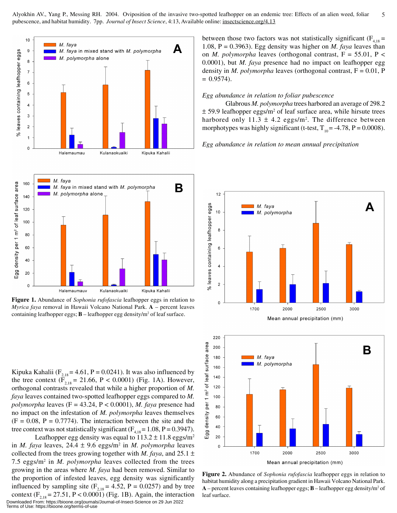Alyokhin AV., Yang P., Messing RH. 2004. Oviposition of the invasive two-spotted leafhopper on an endemic tree: Effects of an alien weed, foliar 5 pubescence, and habitat humidity. 7pp. *Journal of Insect Science*, 4:13, Available online: insectscience.org/4.13





**Figure 1.** Abundance of *Sophonia rufofascia* leafhopper eggs in relation to *Myrica faya* removal in Hawaii Volcano National Park. **A** – percent leaves containing leafhopper eggs;  $\bf{B}$  – leafhopper egg density/ $\bf{m}^2$  of leaf surface.

Kipuka Kahalii ( $F_{2,18} = 4.61$ , P = 0.0241). It was also influenced by the tree context ( $\vec{F}_{2,18} = 21.66$ , P < 0.0001) (Fig. 1A). However, orthogonal contrasts revealed that while a higher proportion of *M. faya* leaves contained two-spotted leafhopper eggs compared to *M. polymorpha* leaves (F = 43.24, P < 0.0001), *M. faya* presence had no impact on the infestation of *M. polymorpha* leaves themselves  $(F = 0.08, P = 0.7774)$ . The interaction between the site and the tree context was not statistically significant ( $F_{4,18} = 1.08$ , P = 0.3947).

Leafhopper egg density was equal to  $113.2 \pm 11.8$  eggs/m<sup>2</sup> in *M. faya* leaves, 24.4 ± 9.6 eggs/m2 in *M. polymorpha* leaves collected from the trees growing together with *M. faya*, and 25.1  $\pm$ 7.5 eggs/m2 in *M. polymorpha* leaves collected from the trees growing in the areas where *M. faya* had been removed. Similar to the proportion of infested leaves, egg density was significantly influenced by sampling site  $(F_{2,18} = 4.52, P = 0.0257)$  and by tree context  $(F_{2,18} = 27.51, P < 0.0001)$  (Fig. 1B). Again, the interaction Downloaded From: https://bioone.org/journals/Journal-of-Insect-Science on 29 Jun 2022 Terms of Use: https://bioone.org/terms-of-use

between those two factors was not statistically significant  $(F_{4,18} =$ 1.08,  $P = 0.3963$ . Egg density was higher on *M. faya* leaves than on *M. polymorpha* leaves (orthogonal contrast,  $F = 55.01$ ,  $P <$ 0.0001), but *M. faya* presence had no impact on leafhopper egg density in *M. polymorpha* leaves (orthogonal contrast,  $F = 0.01$ , P  $= 0.9574$ .

#### *Egg abundance in relation to foliar pubescence*

Glabrous *M. polymorpha* trees harbored an average of 298.2  $\pm$  59.9 leafhopper eggs/m<sup>2</sup> of leaf surface area, while hirsute trees harbored only  $11.3 \pm 4.2$  eggs/m<sup>2</sup>. The difference between morphotypes was highly significant (t-test,  $T_{10} = -4.78$ , P = 0.0008).

#### *Egg abundance in relation to mean annual precipitation*





**Figure 2.** Abundance of *Sophonia rufofascia* leafhopper eggs in relation to habitat humidity along a precipitation gradient in Hawaii Volcano National Park.  $\bf{A}$  – percent leaves containing leafhopper eggs;  $\bf{B}$  – leafhopper egg density/m<sup>2</sup> of leaf surface.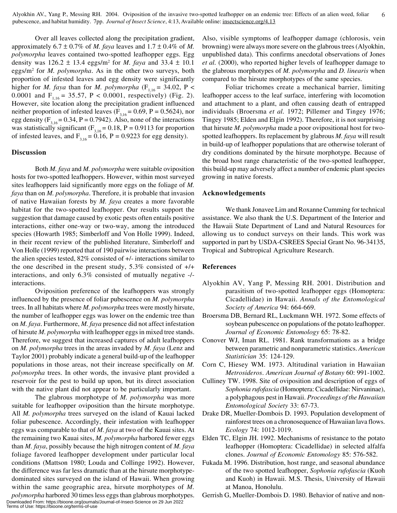Over all leaves collected along the precipitation gradient, approximately  $6.7 \pm 0.7\%$  of *M. faya* leaves and  $1.7 \pm 0.4\%$  of *M. polymorpha* leaves contained two-spotted leafhopper eggs. Egg density was  $126.2 \pm 13.4$  eggs/m<sup>2</sup> for *M. faya* and  $33.4 \pm 10.1$ eggs/m2 for *M. polymorpha*. As in the other two surveys, both proportion of infested leaves and egg density were significantly higher for *M. faya* than for *M. polymorpha* ( $F_{1,16} = 34.02$ , P < 0.0001 and  $F_{1,16} = 35.57$ , P < 0.0001, respectively) (Fig. 2). However, site location along the precipitation gradient influenced neither proportion of infested leaves ( $F_{3,16} = 0.69$ , P = 0.5624), nor egg density ( $F_{3,16} = 0.34$ , P = 0.7942). Also, none of the interactions was statistically significant ( $F_{3,16} = 0.18$ , P = 0.9113 for proportion of infested leaves, and  $F_{3,16} = 0.16$ , P = 0.9223 for egg density).

# **Discussion**

Both *M. faya* and *M. polymorpha* were suitable oviposition hosts for two-spotted leafhoppers. However, within most surveyed sites leafhoppers laid significantly more eggs on the foliage of *M. faya* than on *M. polymorpha*. Therefore, it is probable that invasion of native Hawaiian forests by *M. faya* creates a more favorable habitat for the two-spotted leafhopper. Our results support the suggestion that damage caused by exotic pests often entails positive interactions, either one-way or two-way, among the introduced species (Howarth 1985; Simberloff and Von Holle 1999). Indeed, in their recent review of the published literature, Simberloff and Von Holle (1999) reported that of 190 pairwise interactions between the alien species tested, 82% consisted of +/- interactions similar to the one described in the present study, 5.3% consisted of +/+ interactions, and only 6.3% consisted of mutually negative -/ interactions.

Oviposition preference of the leafhoppers was strongly influenced by the presence of foliar pubescence on *M. polymorpha* trees. In all habitats where *M. polymorpha* trees were mostly hirsute, the number of leafhopper eggs was lower on the endemic tree than on *M. faya*. Furthermore, *M. faya* presence did not affect infestation of hirsute *M. polymorpha* with leafhopper eggs in mixed tree stands. Therefore, we suggest that increased captures of adult leafhoppers on *M. polymorpha* trees in the areas invaded by *M. faya* (Lenz and Taylor 2001) probably indicate a general build-up of the leafhopper populations in those areas, not their increase specifically on *M. polymorpha* trees. In other words, the invasive plant provided a reservoir for the pest to build up upon, but its direct association with the native plant did not appear to be particularly important.

The glabrous morphotype of *M. polymorpha* was more suitable for leafhopper oviposition than the hirsute morphotype. All *M. polymorpha* trees surveyed on the island of Kauai lacked foliar pubescence. Accordingly, their infestation with leafhopper eggs was comparable to that of *M. faya* at two of the Kauai sites. At the remaining two Kauai sites, *M. polymorpha* harbored fewer eggs than *M. faya*, possibly because the high nitrogen content of *M. faya* foliage favored leafhopper development under particular local conditions (Mattson 1980; Louda and Collinge 1992). However, the difference was far less dramatic than at the hirsute morphotypedominated sites surveyed on the island of Hawaii. When growing within the same geographic area, hirsute morphotypes of *M. polymorpha* harbored 30 times less eggs than glabrous morphotypes.

Downloaded From: https://bioone.org/journals/Journal-of-Insect-Science on 29 Jun 2022 Terms of Use: https://bioone.org/terms-of-use

Also, visible symptoms of leafhopper damage (chlorosis, vein browning) were always more severe on the glabrous trees (Alyokhin, unpublished data). This confirms anecdotal observations of Jones *et al.* (2000), who reported higher levels of leafhopper damage to the glabrous morphotypes of *M. polymorpha* and *D. linearis* when compared to the hirsute morphotypes of the same species.

Foliar trichomes create a mechanical barrier, limiting leafhopper access to the leaf surface, interfering with locomotion and attachment to a plant, and often causing death of entrapped individuals (Broersma *et al.* 1972; Pillemer and Tingey 1976; Tingey 1985; Elden and Elgin 1992). Therefore, it is not surprising that hirsute *M. polymorpha* made a poor ovipositional host for twospotted leafhoppers. Its replacement by glabrous *M. faya* will result in build-up of leafhopper populations that are otherwise tolerant of dry conditions dominated by the hirsute morphotype. Because of the broad host range characteristic of the two-spotted leafhopper, this build-up may adversely affect a number of endemic plant species growing in native forests.

# **Acknowledgements**

We thank Jonavee Lim and Roxanne Cumming for technical assistance. We also thank the U.S. Department of the Interior and the Hawaii State Department of Land and Natural Resources for allowing us to conduct surveys on their lands. This work was supported in part by USDA-CSREES Special Grant No. 96-34135, Tropical and Subtropical Agriculture Research.

# **References**

- Alyokhin AV, Yang P, Messing RH. 2001. Distribution and parasitism of two-spotted leafhopper eggs (Homoptera: Cicadellidae) in Hawaii. *Annals of the Entomological Society of America* 94: 664-669.
- Broersma DB, Bernard RL, Luckmann WH. 1972. Some effects of soybean pubescence on populations of the potato leafhopper. *Journal of Economic Entomology* 65: 78-82.
- Conover WJ, Iman RL. 1981. Rank transformations as a bridge between parametric and nonparametric statistics. *American Statistician* 35: 124-129.
- Corn C, Hiesey WM. 1973. Altitudinal variation in Hawaiian *Metrosideros*. *American Journal of Botany* 60: 991-1002.
- Culliney TW. 1998. Site of oviposition and description of eggs of *Sophonia rufofascia* (Homoptera: Cicadellidae: Nirvaninae), a polyphagous pest in Hawaii. *Proceedings of the Hawaiian Entomological Society* 33: 67-73.
- Drake DR, Mueller-Dombois D. 1993. Population development of rainforest trees on a chronosequence of Hawaiian lava flows. *Ecology* 74: 1012-1019.
- Elden TC, Elgin JH. 1992. Mechanisms of resistance to the potato leafhopper (Homoptera: Cicadellidae) in selected alfalfa clones. *Journal of Economic Entomology* 85: 576-582.
- Fukada M. 1996. Distribution, host range, and seasonal abundance of the two spotted leafhopper, *Sophonia rufofascia* (Kuoh and Kuoh) in Hawaii. M.S. Thesis, University of Hawaii at Manoa, Honolulu.

Gerrish G, Mueller-Dombois D. 1980. Behavior of native and non-